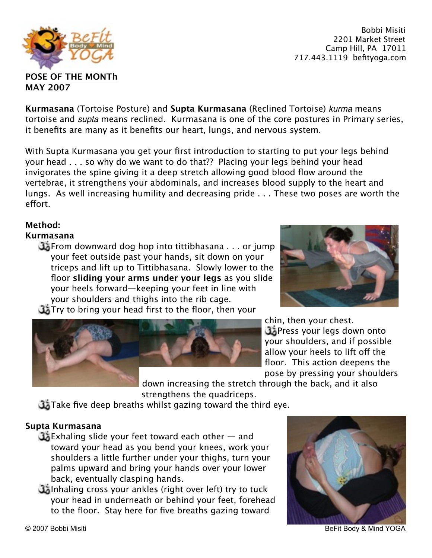© 2007 Bobbi Misiti BeFit Body & Mind YOGA



**Kurmasana** (Tortoise Posture) and **Supta Kurmasana** (Reclined Tortoise) *kurma* means tortoise and *supta* means reclined. Kurmasana is one of the core postures in Primary series, it benefits are many as it benefits our heart, lungs, and nervous system.

With Supta Kurmasana you get your first introduction to starting to put your legs behind your head . . . so why do we want to do that?? Placing your legs behind your head invigorates the spine giving it a deep stretch allowing good blood flow around the vertebrae, it strengthens your abdominals, and increases blood supply to the heart and lungs. As well increasing humility and decreasing pride . . . These two poses are worth the effort.

# **Method:**

# **Kurmasana**

**Example 2.5** From downward dog hop into tittibhasana . . . or jump your feet outside past your hands, sit down on your triceps and lift up to Tittibhasana. Slowly lower to the floor **sliding your arms under your legs** as you slide your heels forward—keeping your feet in line with your shoulders and thighs into the rib cage. Try to bring your head first to the floor, then your



down increasing the stretch through the back, and it also strengthens the quadriceps.

Take five deep breaths whilst gazing toward the third eye.

# **Supta Kurmasana**

- Exhaling slide your feet toward each other and toward your head as you bend your knees, work your shoulders a little further under your thighs, turn your palms upward and bring your hands over your lower back, eventually clasping hands.
- Inhaling cross your ankles (right over left) try to tuck your head in underneath or behind your feet, forehead to the floor. Stay here for five breaths gazing toward





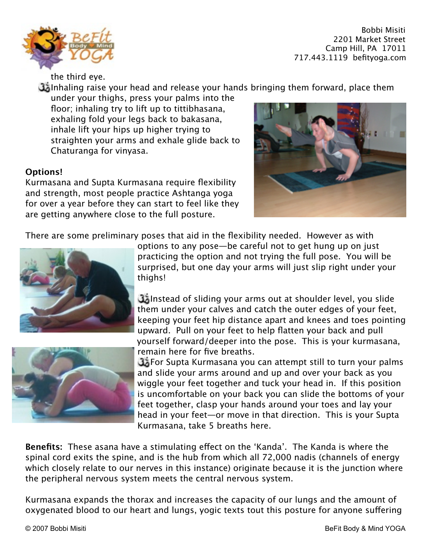

the third eye.

Inhaling raise your head and release your hands bringing them forward, place them

under your thighs, press your palms into the floor; inhaling try to lift up to tittibhasana, exhaling fold your legs back to bakasana, inhale lift your hips up higher trying to straighten your arms and exhale glide back to Chaturanga for vinyasa.

## **Options!**

Kurmasana and Supta Kurmasana require flexibility and strength, most people practice Ashtanga yoga for over a year before they can start to feel like they are getting anywhere close to the full posture.



There are some preliminary poses that aid in the flexibility needed. However as with





options to any pose—be careful not to get hung up on just practicing the option and not trying the full pose. You will be surprised, but one day your arms will just slip right under your thighs!

Instead of sliding your arms out at shoulder level, you slide them under your calves and catch the outer edges of your feet, keeping your feet hip distance apart and knees and toes pointing upward. Pull on your feet to help flatten your back and pull yourself forward/deeper into the pose. This is your kurmasana, remain here for five breaths.

**The Supta Kurmasana you can attempt still to turn your palms** and slide your arms around and up and over your back as you wiggle your feet together and tuck your head in. If this position is uncomfortable on your back you can slide the bottoms of your feet together, clasp your hands around your toes and lay your head in your feet—or move in that direction. This is your Supta Kurmasana, take 5 breaths here.

**Benefits:** These asana have a stimulating efect on the 'Kanda'. The Kanda is where the spinal cord exits the spine, and is the hub from which all 72,000 nadis (channels of energy which closely relate to our nerves in this instance) originate because it is the junction where the peripheral nervous system meets the central nervous system.

Kurmasana expands the thorax and increases the capacity of our lungs and the amount of oxygenated blood to our heart and lungs, yogic texts tout this posture for anyone sufering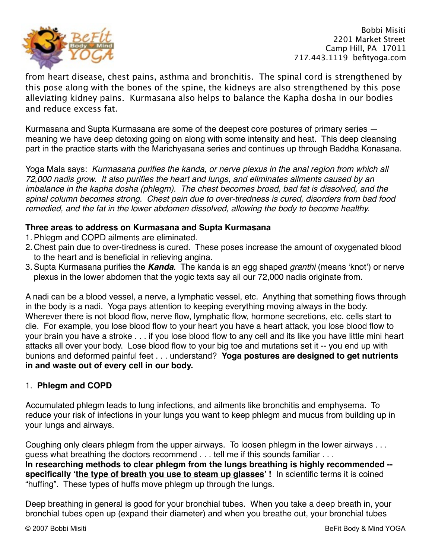

from heart disease, chest pains, asthma and bronchitis. The spinal cord is strengthened by this pose along with the bones of the spine, the kidneys are also strengthened by this pose alleviating kidney pains. Kurmasana also helps to balance the Kapha dosha in our bodies and reduce excess fat.

Kurmasana and Supta Kurmasana are some of the deepest core postures of primary series meaning we have deep detoxing going on along with some intensity and heat. This deep cleansing part in the practice starts with the Marichyasana series and continues up through Baddha Konasana.

Yoga Mala says: *Kurmasana purifies the kanda, or nerve plexus in the anal region from which all 72,000 nadis grow. It also purifies the heart and lungs, and eliminates ailments caused by an imbalance in the kapha dosha (phlegm). The chest becomes broad, bad fat is dissolved, and the spinal column becomes strong. Chest pain due to over-tiredness is cured, disorders from bad food remedied, and the fat in the lower abdomen dissolved, allowing the body to become healthy.*

#### **Three areas to address on Kurmasana and Supta Kurmasana**

- 1.Phlegm and COPD ailments are eliminated.
- 2. Chest pain due to over-tiredness is cured. These poses increase the amount of oxygenated blood to the heart and is beneficial in relieving angina.
- 3.Supta Kurmasana purifies the *Kanda*. The kanda is an egg shaped *granthi* (means 'knot') or nerve plexus in the lower abdomen that the yogic texts say all our 72,000 nadis originate from.

A nadi can be a blood vessel, a nerve, a lymphatic vessel, etc. Anything that something flows through in the body is a nadi. Yoga pays attention to keeping everything moving always in the body. Wherever there is not blood flow, nerve flow, lymphatic flow, hormone secretions, etc. cells start to die. For example, you lose blood flow to your heart you have a heart attack, you lose blood flow to your brain you have a stroke . . . if you lose blood flow to any cell and its like you have little mini heart attacks all over your body. Lose blood flow to your big toe and mutations set it -- you end up with bunions and deformed painful feet . . . understand? **Yoga postures are designed to get nutrients in and waste out of every cell in our body.**

### 1. **Phlegm and COPD**

Accumulated phlegm leads to lung infections, and ailments like bronchitis and emphysema. To reduce your risk of infections in your lungs you want to keep phlegm and mucus from building up in your lungs and airways.

Coughing only clears phlegm from the upper airways. To loosen phlegm in the lower airways . . . guess what breathing the doctors recommend . . . tell me if this sounds familiar . . . **In researching methods to clear phlegm from the lungs breathing is highly recommended -**  specifically 'the type of breath you use to steam up glasses'! In scientific terms it is coined "huffing". These types of huffs move phlegm up through the lungs.

Deep breathing in general is good for your bronchial tubes. When you take a deep breath in, your bronchial tubes open up (expand their diameter) and when you breathe out, your bronchial tubes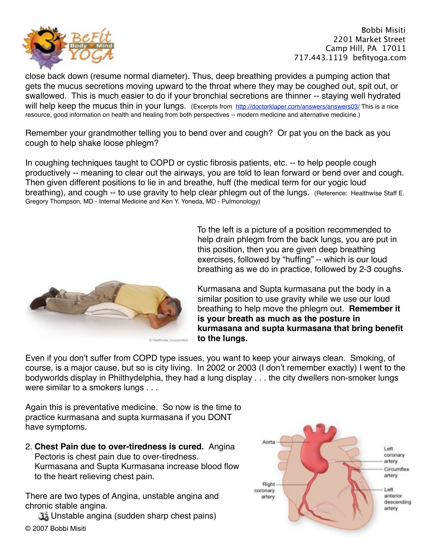

close back down (resume normal diameter). Thus, deep breathing provides a pumping action that gets the mucus secretions moving upward to the throat where they may be coughed out, spit out, or swallowed. This is much easier to do if your bronchial secretions are thinner -- staying well hydrated will help keep the mucus thin in your lungs. (Excerpts from <http://doctorklaper.com/answers/answers03/> This is a nice resource, good information on health and healing from both perspectives -- modern medicine and alternative medicine.)

Remember your grandmother telling you to bend over and cough? Or pat you on the back as you cough to help shake loose phlegm?

In coughing techniques taught to COPD or cystic fibrosis patients, etc. -- to help people cough productively -- meaning to clear out the airways, you are told to lean forward or bend over and cough. Then given different positions to lie in and breathe, huff (the medical term for our yogic loud breathing), and cough -- to use gravity to help clear phlegm out of the lungs. (Reference: Healthwise Staff E. Gregory Thompson, MD - Internal Medicine and Ken Y. Yoneda, MD - Pulmonology)



To the left is a picture of a position recommended to help drain phlegm from the back lungs, you are put in this position, then you are given deep breathing exercises, followed by "huffing" -- which is our loud breathing as we do in practice, followed by 2-3 coughs.

Kurmasana and Supta kurmasana put the body in a similar position to use gravity while we use our loud breathing to help move the phlegm out. **Remember it is your breath as much as the posture in kurmasana and supta kurmasana that bring benefit to the lungs.**

Even if you don't suffer from COPD type issues, you want to keep your airways clean. Smoking, of course, is a major cause, but so is city living. In 2002 or 2003 (I don't remember exactly) I went to the bodyworlds display in Philthydelphia, they had a lung display . . . the city dwellers non-smoker lungs were similar to a smokers lungs . . .

Again this is preventative medicine. So now is the time to practice kurmasana and supta kurmasana if you DONT have symptoms.

2. **Chest Pain due to over-tiredness is cured.** Angina Pectoris is chest pain due to over-tiredness. Kurmasana and Supta Kurmasana increase blood flow to the heart relieving chest pain.

There are two types of Angina, unstable angina and chronic stable angina.

Unstable angina (sudden sharp chest pains) © 2007 Bobbi Misiti

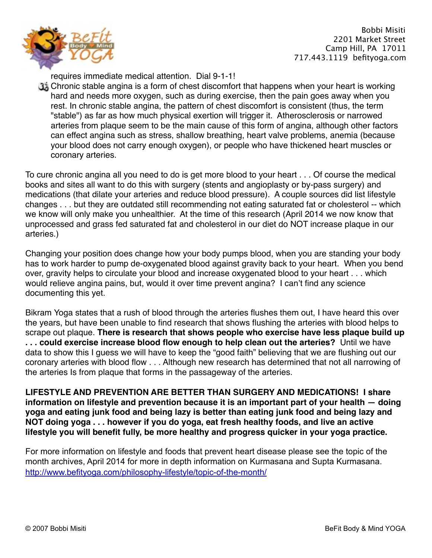

requires immediate medical attention. Dial 9-1-1!

Chronic stable angina is a form of chest discomfort that happens when your heart is working hard and needs more oxygen, such as during exercise, then the pain goes away when you rest. In chronic stable angina, the pattern of chest discomfort is consistent (thus, the term "stable") as far as how much physical exertion will trigger it. Atherosclerosis or narrowed arteries from plaque seem to be the main cause of this form of angina, although other factors can effect angina such as stress, shallow breathing, heart valve problems, anemia (because your blood does not carry enough oxygen), or people who have thickened heart muscles or coronary arteries.

To cure chronic angina all you need to do is get more blood to your heart . . . Of course the medical books and sites all want to do this with surgery (stents and angioplasty or by-pass surgery) and medications (that dilate your arteries and reduce blood pressure). A couple sources did list lifestyle changes . . . but they are outdated still recommending not eating saturated fat or cholesterol -- which we know will only make you unhealthier. At the time of this research (April 2014 we now know that unprocessed and grass fed saturated fat and cholesterol in our diet do NOT increase plaque in our arteries.)

Changing your position does change how your body pumps blood, when you are standing your body has to work harder to pump de-oxygenated blood against gravity back to your heart. When you bend over, gravity helps to circulate your blood and increase oxygenated blood to your heart . . . which would relieve angina pains, but, would it over time prevent angina? I can't find any science documenting this yet.

Bikram Yoga states that a rush of blood through the arteries flushes them out, I have heard this over the years, but have been unable to find research that shows flushing the arteries with blood helps to scrape out plaque. **There is research that shows people who exercise have less plaque build up . . . could exercise increase blood flow enough to help clean out the arteries?** Until we have data to show this I guess we will have to keep the "good faith" believing that we are flushing out our coronary arteries with blood flow . . . Although new research has determined that not all narrowing of the arteries Is from plaque that forms in the passageway of the arteries.

**LIFESTYLE AND PREVENTION ARE BETTER THAN SURGERY AND MEDICATIONS! I share information on lifestyle and prevention because it is an important part of your health — doing yoga and eating junk food and being lazy is better than eating junk food and being lazy and NOT doing yoga . . . however if you do yoga, eat fresh healthy foods, and live an active lifestyle you will benefit fully, be more healthy and progress quicker in your yoga practice.**

For more information on lifestyle and foods that prevent heart disease please see the topic of the month archives, April 2014 for more in depth information on Kurmasana and Supta Kurmasana. <http://www.befityoga.com/philosophy-lifestyle/topic-of-the-month/>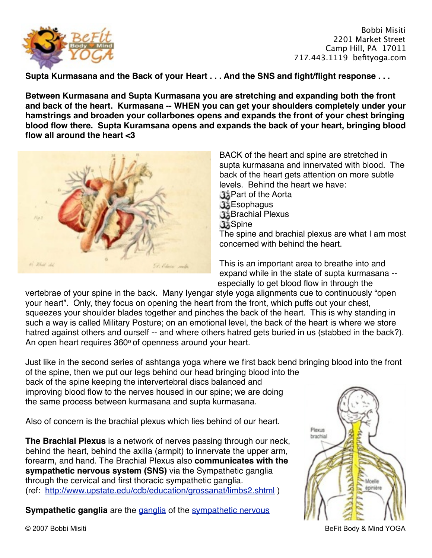

**Supta Kurmasana and the Back of your Heart . . . And the SNS and fight/flight response . . .**

**Between Kurmasana and Supta Kurmasana you are stretching and expanding both the front and back of the heart. Kurmasana -- WHEN you can get your shoulders completely under your hamstrings and broaden your collarbones opens and expands the front of your chest bringing blood flow there. Supta Kuramsana opens and expands the back of your heart, bringing blood flow all around the heart <3**



BACK of the heart and spine are stretched in supta kurmasana and innervated with blood. The back of the heart gets attention on more subtle levels. Behind the heart we have: **Brand of the Aorta** 

- **B**Sophagus
- **Brachial Plexus**
- **d** Spine

The spine and brachial plexus are what I am most concerned with behind the heart.

This is an important area to breathe into and expand while in the state of supta kurmasana - especially to get blood flow in through the

vertebrae of your spine in the back. Many Iyengar style yoga alignments cue to continuously "open your heart". Only, they focus on opening the heart from the front, which puffs out your chest, squeezes your shoulder blades together and pinches the back of the heart. This is why standing in such a way is called Military Posture; on an emotional level, the back of the heart is where we store hatred against others and ourself -- and where others hatred gets buried in us (stabbed in the back?). An open heart requires 360° of openness around your heart.

Just like in the second series of ashtanga yoga where we first back bend bringing blood into the front of the spine, then we put our legs behind our head bringing blood into the

back of the spine keeping the intervertebral discs balanced and improving blood flow to the nerves housed in our spine; we are doing the same process between kurmasana and supta kurmasana.

Also of concern is the brachial plexus which lies behind of our heart.

**The Brachial Plexus** is a network of nerves passing through our neck, behind the heart, behind the axilla (armpit) to innervate the upper arm, forearm, and hand. The Brachial Plexus also **communicates with the sympathetic nervous system (SNS)** via the Sympathetic ganglia through the cervical and first thoracic sympathetic ganglia. (ref: <http://www.upstate.edu/cdb/education/grossanat/limbs2.shtml>)

**Sympathetic [ganglia](http://en.wikipedia.org/wiki/Autonomic_ganglia)** are the ganglia of the sympathetic nervous



© 2007 Bobbi Misiti BeFit Body & Mind YOGA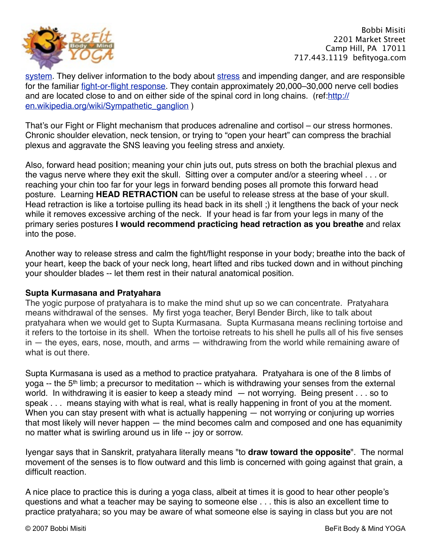

[system](http://en.wikipedia.org/wiki/Sympathetic_nervous_system). They deliver information to the body about [stress](http://en.wikipedia.org/wiki/Stress_(medicine)) and impending danger, and are responsible for the familiar [fight-or-flight response.](http://en.wikipedia.org/wiki/Fight-or-flight_response) They contain approximately 20,000–30,000 nerve cell bodies [and are located close to and on either side of the spinal cord in long chains. \(ref:http://](http://en.wikipedia.org/wiki/Sympathetic_ganglion) en.wikipedia.org/wiki/Sympathetic\_ganglion )

That's our Fight or Flight mechanism that produces adrenaline and cortisol – our stress hormones. Chronic shoulder elevation, neck tension, or trying to "open your heart" can compress the brachial plexus and aggravate the SNS leaving you feeling stress and anxiety.

Also, forward head position; meaning your chin juts out, puts stress on both the brachial plexus and the vagus nerve where they exit the skull. Sitting over a computer and/or a steering wheel . . . or reaching your chin too far for your legs in forward bending poses all promote this forward head posture. Learning **HEAD RETRACTION** can be useful to release stress at the base of your skull. Head retraction is like a tortoise pulling its head back in its shell ;) it lengthens the back of your neck while it removes excessive arching of the neck. If your head is far from your legs in many of the primary series postures **I would recommend practicing head retraction as you breathe** and relax into the pose.

Another way to release stress and calm the fight/flight response in your body; breathe into the back of your heart, keep the back of your neck long, heart lifted and ribs tucked down and in without pinching your shoulder blades -- let them rest in their natural anatomical position.

### **Supta Kurmasana and Pratyahara**

The yogic purpose of pratyahara is to make the mind shut up so we can concentrate. Pratyahara means withdrawal of the senses. My first yoga teacher, Beryl Bender Birch, like to talk about pratyahara when we would get to Supta Kurmasana. Supta Kurmasana means reclining tortoise and it refers to the tortoise in its shell. When the tortoise retreats to his shell he pulls all of his five senses in — the eyes, ears, nose, mouth, and arms — withdrawing from the world while remaining aware of what is out there.

Supta Kurmasana is used as a method to practice pratyahara. Pratyahara is one of the 8 limbs of yoga -- the 5<sup>th</sup> limb; a precursor to meditation -- which is withdrawing your senses from the external world. In withdrawing it is easier to keep a steady mind — not worrying. Being present . . . so to speak . . . means staying with what is real, what is really happening in front of you at the moment. When you can stay present with what is actually happening — not worrying or conjuring up worries that most likely will never happen — the mind becomes calm and composed and one has equanimity no matter what is swirling around us in life -- joy or sorrow.

Iyengar says that in Sanskrit, pratyahara literally means "to **draw toward the opposite**". The normal movement of the senses is to flow outward and this limb is concerned with going against that grain, a difficult reaction.

A nice place to practice this is during a yoga class, albeit at times it is good to hear other people's questions and what a teacher may be saying to someone else . . . this is also an excellent time to practice pratyahara; so you may be aware of what someone else is saying in class but you are not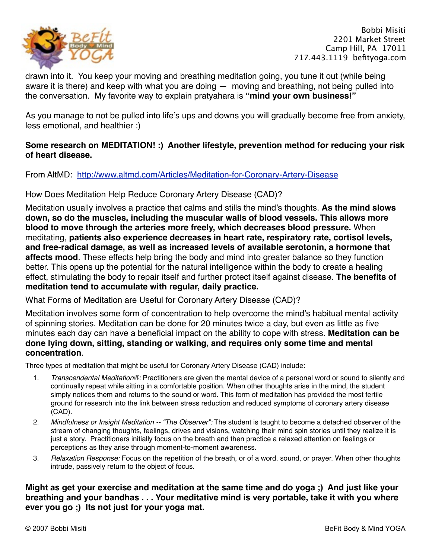

drawn into it. You keep your moving and breathing meditation going, you tune it out (while being aware it is there) and keep with what you are doing — moving and breathing, not being pulled into the conversation. My favorite way to explain pratyahara is **"mind your own business!"**

As you manage to not be pulled into life's ups and downs you will gradually become free from anxiety, less emotional, and healthier :)

## **Some research on MEDITATION! :) Another lifestyle, prevention method for reducing your risk of heart disease.**

### From AltMD: <http://www.altmd.com/Articles/Meditation-for-Coronary-Artery-Disease>

## How Does Meditation Help Reduce Coronary Artery Disease (CAD)?

Meditation usually involves a practice that calms and stills the mind's thoughts. **As the mind slows down, so do the muscles, including the muscular walls of blood vessels. This allows more blood to move through the arteries more freely, which decreases blood pressure.** When meditating, **patients also experience decreases in heart rate, respiratory rate, cortisol levels, and free-radical damage, as well as increased levels of available serotonin, a hormone that affects mood**. These effects help bring the body and mind into greater balance so they function better. This opens up the potential for the natural intelligence within the body to create a healing effect, stimulating the body to repair itself and further protect itself against disease. **The benefits of meditation tend to accumulate with regular, daily practice.**

What Forms of Meditation are Useful for Coronary Artery Disease (CAD)?

Meditation involves some form of concentration to help overcome the mind's habitual mental activity of spinning stories. Meditation can be done for 20 minutes twice a day, but even as little as five minutes each day can have a beneficial impact on the ability to cope with stress. **Meditation can be done lying down, sitting, standing or walking, and requires only some time and mental concentration**.

Three types of meditation that might be useful for Coronary Artery Disease (CAD) include:

- 1. *Transcendental Meditation®:* Practitioners are given the mental device of a personal word or sound to silently and continually repeat while sitting in a comfortable position. When other thoughts arise in the mind, the student simply notices them and returns to the sound or word. This form of meditation has provided the most fertile ground for research into the link between stress reduction and reduced symptoms of coronary artery disease (CAD).
- 2. *Mindfulness or Insight Meditation -- "The Observer":* The student is taught to become a detached observer of the stream of changing thoughts, feelings, drives and visions, watching their mind spin stories until they realize it is just a story. Practitioners initially focus on the breath and then practice a relaxed attention on feelings or perceptions as they arise through moment-to-moment awareness.
- 3. *Relaxation Response:* Focus on the repetition of the breath, or of a word, sound, or prayer. When other thoughts intrude, passively return to the object of focus.

**Might as get your exercise and meditation at the same time and do yoga ;) And just like your breathing and your bandhas . . . Your meditative mind is very portable, take it with you where ever you go ;) Its not just for your yoga mat.**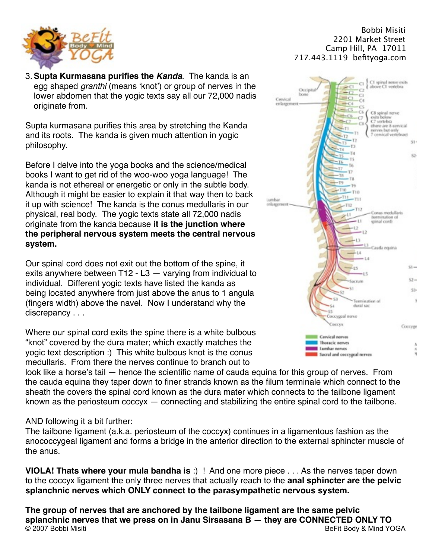

3.**Supta Kurmasana purifies the** *Kanda*. The kanda is an egg shaped *granthi* (means 'knot') or group of nerves in the lower abdomen that the yogic texts say all our 72,000 nadis originate from.

Supta kurmasana purifies this area by stretching the Kanda and its roots. The kanda is given much attention in yogic philosophy.

Before I delve into the yoga books and the science/medical books I want to get rid of the woo-woo yoga language! The kanda is not ethereal or energetic or only in the subtle body. Although it might be easier to explain it that way then to back it up with science! The kanda is the conus medullaris in our physical, real body. The yogic texts state all 72,000 nadis originate from the kanda because **it is the junction where the peripheral nervous system meets the central nervous system.**

Our spinal cord does not exit out the bottom of the spine, it exits anywhere between T12 - L3 — varying from individual to individual. Different yogic texts have listed the kanda as being located anywhere from just above the anus to 1 angula (fingers width) above the navel. Now I understand why the discrepancy . . .

Where our spinal cord exits the spine there is a white bulbous "knot" covered by the dura mater; which exactly matches the yogic text description :) This white bulbous knot is the conus medullaris. From there the nerves continue to branch out to

look like a horse's tail — hence the scientific name of cauda equina for this group of nerves. From the cauda equina they taper down to finer strands known as the filum terminale which connect to the sheath the covers the spinal cord known as the dura mater which connects to the tailbone ligament known as the periosteum coccyx — connecting and stabilizing the entire spinal cord to the tailbone.

AND following it a bit further:

The tailbone ligament (a.k.a. periosteum of the coccyx) continues in a ligamentous fashion as the anococcygeal ligament and forms a bridge in the anterior direction to the external sphincter muscle of the anus.

**VIOLA! Thats where your mula bandha is** :) ! And one more piece . . . As the nerves taper down to the coccyx ligament the only three nerves that actually reach to the **anal sphincter are the pelvic splanchnic nerves which ONLY connect to the parasympathetic nervous system.** 

**The group of nerves that are anchored by the tailbone ligament are the same pelvic splanchnic nerves that we press on in Janu Sirsasana B — they are CONNECTED ONLY TO**<br>© 2007 Bobbi Misiti **Bully Selfit Body & Mind Y** BeFit Body & Mind YOGA

### $\mathbb{R}^n$  Bobbi Misiti 

2201 Market Street Camp Hill, PA 17011 717.443.1119 befityoga.com

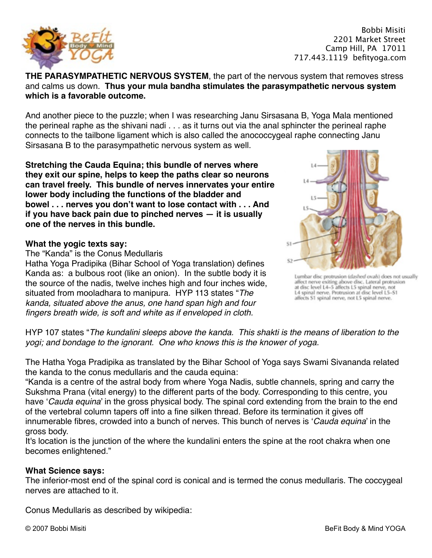

#### **THE PARASYMPATHETIC NERVOUS SYSTEM**, the part of the nervous system that removes stress and calms us down. **Thus your mula bandha stimulates the parasympathetic nervous system which is a favorable outcome.**

And another piece to the puzzle; when I was researching Janu Sirsasana B, Yoga Mala mentioned the perineal raphe as the shivani nadi . . . as it turns out via the anal sphincter the perineal raphe connects to the tailbone ligament which is also called the anococcygeal raphe connecting Janu Sirsasana B to the parasympathetic nervous system as well.

**Stretching the Cauda Equina; this bundle of nerves where they exit our spine, helps to keep the paths clear so neurons can travel freely. This bundle of nerves innervates your entire lower body including the functions of the bladder and bowel . . . nerves you don't want to lose contact with . . . And if you have back pain due to pinched nerves — it is usually one of the nerves in this bundle.**

#### **What the yogic texts say:**

The "Kanda" is the Conus Medullaris

Hatha Yoga Pradipika (Bihar School of Yoga translation) defines Kanda as: a bulbous root (like an onion). In the subtle body it is the source of the nadis, twelve inches high and four inches wide, situated from mooladhara to manipura. HYP 113 states "*The kanda, situated above the anus, one hand span high and four fingers breath wide, is soft and white as if enveloped in cloth.*



Lumbar disc protrusion (dashed ovals) does not usually affect nerve exiting above disc. Lateral protrusion<br>at disc level L4-5 affects L5 spinal nerve, not<br>L4 spinal nerve, Protrusion at disc level L5-S1 affects \$1 spinal nerve, not L5 spinal nerve.

HYP 107 states "*The kundalini sleeps above the kanda. This shakti is the means of liberation to the yogi; and bondage to the ignorant. One who knows this is the knower of yoga.*

The Hatha Yoga Pradipika as translated by the Bihar School of Yoga says Swami Sivananda related the kanda to the conus medullaris and the cauda equina:

"Kanda is a centre of the astral body from where Yoga Nadis, subtle channels, spring and carry the Sukshma Prana (vital energy) to the different parts of the body. Corresponding to this centre, you have '*Cauda equina*' in the gross physical body. The spinal cord extending from the brain to the end of the vertebral column tapers off into a fine silken thread. Before its termination it gives off innumerable fibres, crowded into a bunch of nerves. This bunch of nerves is '*Cauda equina*' in the gross body.

It's location is the junction of the where the kundalini enters the spine at the root chakra when one becomes enlightened."

#### **What Science says:**

The inferior-most end of the spinal cord is conical and is termed the conus medullaris. The coccygeal nerves are attached to it.

Conus Medullaris as described by wikipedia: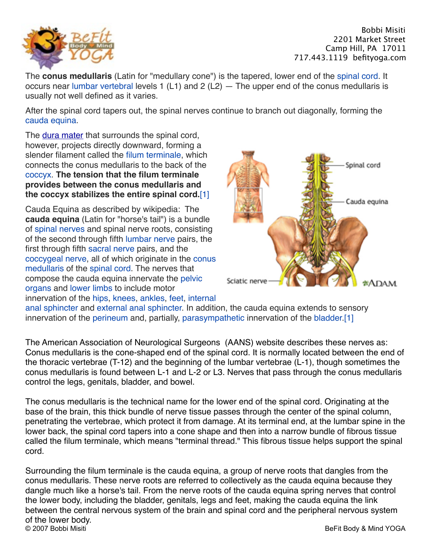

The **conus medullaris** (Latin for "medullary cone") is the tapered, lower end of the [spinal cord](http://en.wikipedia.org/wiki/Spinal_cord). It occurs near [lumbar vertebral](http://en.wikipedia.org/wiki/Lumbar_vertebrae) levels 1 (L1) and 2 (L2) — The upper end of the conus medullaris is usually not well defined as it varies.

After the spinal cord tapers out, the spinal nerves continue to branch out diagonally, forming the [cauda equina](http://en.wikipedia.org/wiki/Cauda_equina).

The **dura mater** that surrounds the spinal cord, however, projects directly downward, forming a slender filament called the [filum terminale,](http://en.wikipedia.org/wiki/Filum_terminale) which connects the conus medullaris to the back of the [coccyx.](http://en.wikipedia.org/wiki/Coccyx) **The tension that the filum terminale provides between the conus medullaris and the coccyx stabilizes the entire spinal cord.**[1]

Cauda Equina as described by wikipedia: The **cauda equina** (Latin for "horse's tail") is a bundle of [spinal nerves](http://en.wikipedia.org/wiki/Spinal_nerves) and spinal nerve roots, consisting of the second through fifth [lumbar nerve](http://en.wikipedia.org/wiki/Lumbar_nerve) pairs, the first through fifth [sacral nerve](http://en.wikipedia.org/wiki/Sacral_nerve) pairs, and the [coccygeal nerve, all of which originate in the conus](http://en.wikipedia.org/wiki/Conus_medullaris)  medullaris of the [spinal cord](http://en.wikipedia.org/wiki/Spinal_cord). The nerves that [compose the cauda equina innervate the pelvic](http://en.wikipedia.org/wiki/Pelvic_cavity)  organs and [lower limbs](http://en.wikipedia.org/wiki/Human_leg) to include motor innervation of the [hips](http://en.wikipedia.org/wiki/Hip), [knees](http://en.wikipedia.org/wiki/Knee), [ankles](http://en.wikipedia.org/wiki/Ankle), [feet](http://en.wikipedia.org/wiki/Foot), internal



[anal sphincter and external anal sphincter. In additio](http://en.wikipedia.org/wiki/Sphincter_ani_internus_muscle)n, the cauda equina extends to sensory innervation of the [perineum](http://en.wikipedia.org/wiki/Perineum) and, partially, [parasympathetic](http://en.wikipedia.org/wiki/Parasympathetic) innervation of the [bladder.](http://en.wikipedia.org/wiki/Bladder)[1]

The American Association of Neurological Surgeons (AANS) website describes these nerves as: Conus medullaris is the cone-shaped end of the spinal cord. It is normally located between the end of the thoracic vertebrae (T-12) and the beginning of the lumbar vertebrae (L-1), though sometimes the conus medullaris is found between L-1 and L-2 or L3. Nerves that pass through the conus medullaris control the legs, genitals, bladder, and bowel.

The conus medullaris is the technical name for the lower end of the spinal cord. Originating at the base of the brain, this thick bundle of nerve tissue passes through the center of the spinal column, penetrating the vertebrae, which protect it from damage. At its terminal end, at the lumbar spine in the lower back, the spinal cord tapers into a cone shape and then into a narrow bundle of fibrous tissue called the filum terminale, which means "terminal thread." This fibrous tissue helps support the spinal cord.

Surrounding the filum terminale is the cauda equina, a group of nerve roots that dangles from the conus medullaris. These nerve roots are referred to collectively as the cauda equina because they dangle much like a horse's tail. From the nerve roots of the cauda equina spring nerves that control the lower body, including the bladder, genitals, legs and feet, making the cauda equina the link between the central nervous system of the brain and spinal cord and the peripheral nervous system of the lower body.<br>© 2007 Bobbi Misiti BeFit Body & Mind YOGA